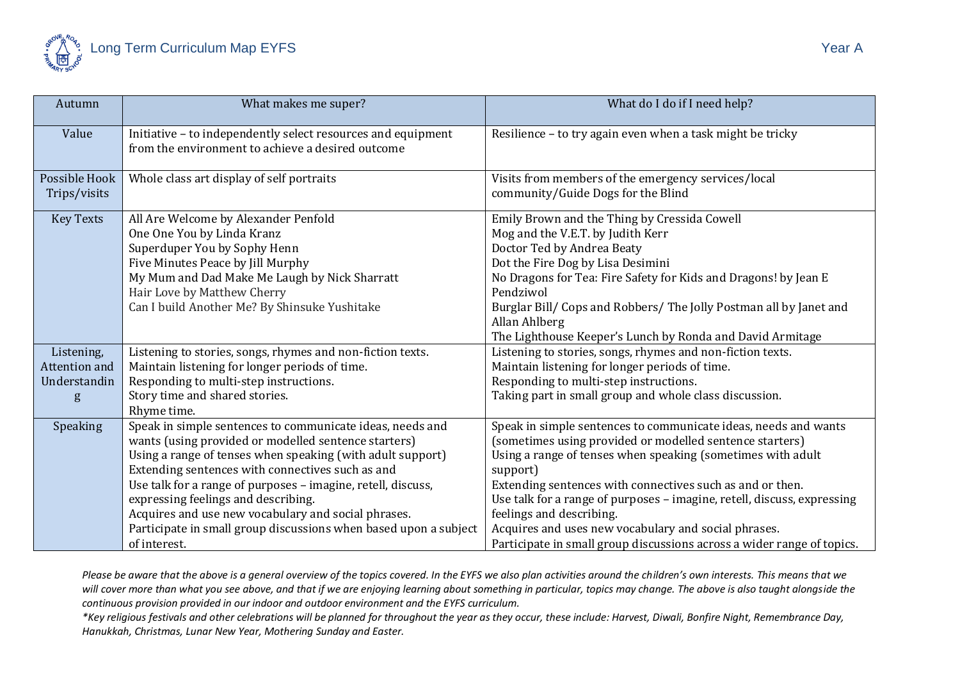

| Autumn           | What makes me super?                                                                                              | What do I do if I need help?                                                        |
|------------------|-------------------------------------------------------------------------------------------------------------------|-------------------------------------------------------------------------------------|
| Value            | Initiative - to independently select resources and equipment<br>from the environment to achieve a desired outcome | Resilience - to try again even when a task might be tricky                          |
| Possible Hook    | Whole class art display of self portraits                                                                         | Visits from members of the emergency services/local                                 |
| Trips/visits     |                                                                                                                   | community/Guide Dogs for the Blind                                                  |
| <b>Key Texts</b> | All Are Welcome by Alexander Penfold                                                                              | Emily Brown and the Thing by Cressida Cowell                                        |
|                  | One One You by Linda Kranz                                                                                        | Mog and the V.E.T. by Judith Kerr                                                   |
|                  | Superduper You by Sophy Henn                                                                                      | Doctor Ted by Andrea Beaty                                                          |
|                  | Five Minutes Peace by Jill Murphy                                                                                 | Dot the Fire Dog by Lisa Desimini                                                   |
|                  | My Mum and Dad Make Me Laugh by Nick Sharratt                                                                     | No Dragons for Tea: Fire Safety for Kids and Dragons! by Jean E                     |
|                  | Hair Love by Matthew Cherry                                                                                       | Pendziwol                                                                           |
|                  | Can I build Another Me? By Shinsuke Yushitake                                                                     | Burglar Bill/ Cops and Robbers/ The Jolly Postman all by Janet and<br>Allan Ahlberg |
|                  |                                                                                                                   | The Lighthouse Keeper's Lunch by Ronda and David Armitage                           |
| Listening,       | Listening to stories, songs, rhymes and non-fiction texts.                                                        | Listening to stories, songs, rhymes and non-fiction texts.                          |
| Attention and    | Maintain listening for longer periods of time.                                                                    | Maintain listening for longer periods of time.                                      |
| Understandin     | Responding to multi-step instructions.                                                                            | Responding to multi-step instructions.                                              |
| g                | Story time and shared stories.                                                                                    | Taking part in small group and whole class discussion.                              |
|                  | Rhyme time.                                                                                                       |                                                                                     |
| Speaking         | Speak in simple sentences to communicate ideas, needs and                                                         | Speak in simple sentences to communicate ideas, needs and wants                     |
|                  | wants (using provided or modelled sentence starters)                                                              | (sometimes using provided or modelled sentence starters)                            |
|                  | Using a range of tenses when speaking (with adult support)                                                        | Using a range of tenses when speaking (sometimes with adult                         |
|                  | Extending sentences with connectives such as and                                                                  | support)                                                                            |
|                  | Use talk for a range of purposes - imagine, retell, discuss,                                                      | Extending sentences with connectives such as and or then.                           |
|                  | expressing feelings and describing.                                                                               | Use talk for a range of purposes - imagine, retell, discuss, expressing             |
|                  | Acquires and use new vocabulary and social phrases.                                                               | feelings and describing.                                                            |
|                  | Participate in small group discussions when based upon a subject                                                  | Acquires and uses new vocabulary and social phrases.                                |
|                  | of interest.                                                                                                      | Participate in small group discussions across a wider range of topics.              |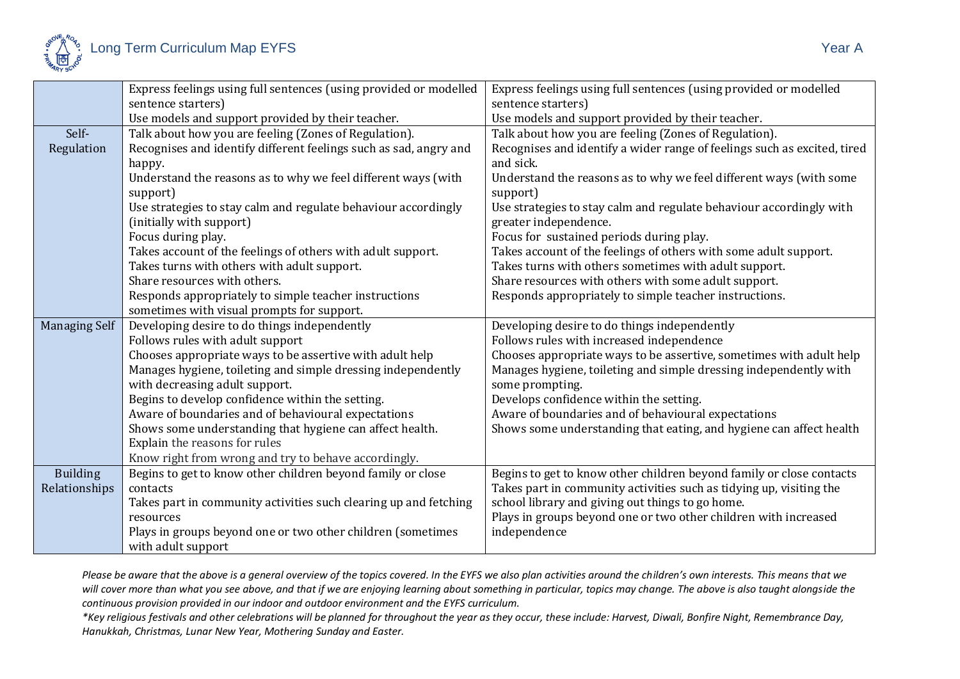

|                      | Express feelings using full sentences (using provided or modelled                 | Express feelings using full sentences (using provided or modelled        |
|----------------------|-----------------------------------------------------------------------------------|--------------------------------------------------------------------------|
|                      | sentence starters)                                                                | sentence starters)                                                       |
|                      | Use models and support provided by their teacher.                                 | Use models and support provided by their teacher.                        |
| Self-                | Talk about how you are feeling (Zones of Regulation).                             | Talk about how you are feeling (Zones of Regulation).                    |
| Regulation           | Recognises and identify different feelings such as sad, angry and                 | Recognises and identify a wider range of feelings such as excited, tired |
|                      | happy.                                                                            | and sick.                                                                |
|                      | Understand the reasons as to why we feel different ways (with                     | Understand the reasons as to why we feel different ways (with some       |
|                      | support)                                                                          | support)                                                                 |
|                      | Use strategies to stay calm and regulate behaviour accordingly                    | Use strategies to stay calm and regulate behaviour accordingly with      |
|                      | (initially with support)                                                          | greater independence.                                                    |
|                      | Focus during play.                                                                | Focus for sustained periods during play.                                 |
|                      | Takes account of the feelings of others with adult support.                       | Takes account of the feelings of others with some adult support.         |
|                      | Takes turns with others with adult support.                                       | Takes turns with others sometimes with adult support.                    |
|                      | Share resources with others.                                                      | Share resources with others with some adult support.                     |
|                      | Responds appropriately to simple teacher instructions                             | Responds appropriately to simple teacher instructions.                   |
|                      | sometimes with visual prompts for support.                                        |                                                                          |
|                      |                                                                                   |                                                                          |
| <b>Managing Self</b> | Developing desire to do things independently                                      | Developing desire to do things independently                             |
|                      | Follows rules with adult support                                                  | Follows rules with increased independence                                |
|                      | Chooses appropriate ways to be assertive with adult help                          | Chooses appropriate ways to be assertive, sometimes with adult help      |
|                      | Manages hygiene, toileting and simple dressing independently                      | Manages hygiene, toileting and simple dressing independently with        |
|                      | with decreasing adult support.                                                    | some prompting.                                                          |
|                      | Begins to develop confidence within the setting.                                  | Develops confidence within the setting.                                  |
|                      | Aware of boundaries and of behavioural expectations                               | Aware of boundaries and of behavioural expectations                      |
|                      | Shows some understanding that hygiene can affect health.                          | Shows some understanding that eating, and hygiene can affect health      |
|                      | Explain the reasons for rules                                                     |                                                                          |
|                      | Know right from wrong and try to behave accordingly.                              |                                                                          |
| <b>Building</b>      | Begins to get to know other children beyond family or close                       | Begins to get to know other children beyond family or close contacts     |
| Relationships        | contacts                                                                          | Takes part in community activities such as tidying up, visiting the      |
|                      | Takes part in community activities such clearing up and fetching                  | school library and giving out things to go home.                         |
|                      | resources                                                                         | Plays in groups beyond one or two other children with increased          |
|                      | Plays in groups beyond one or two other children (sometimes<br>with adult support | independence                                                             |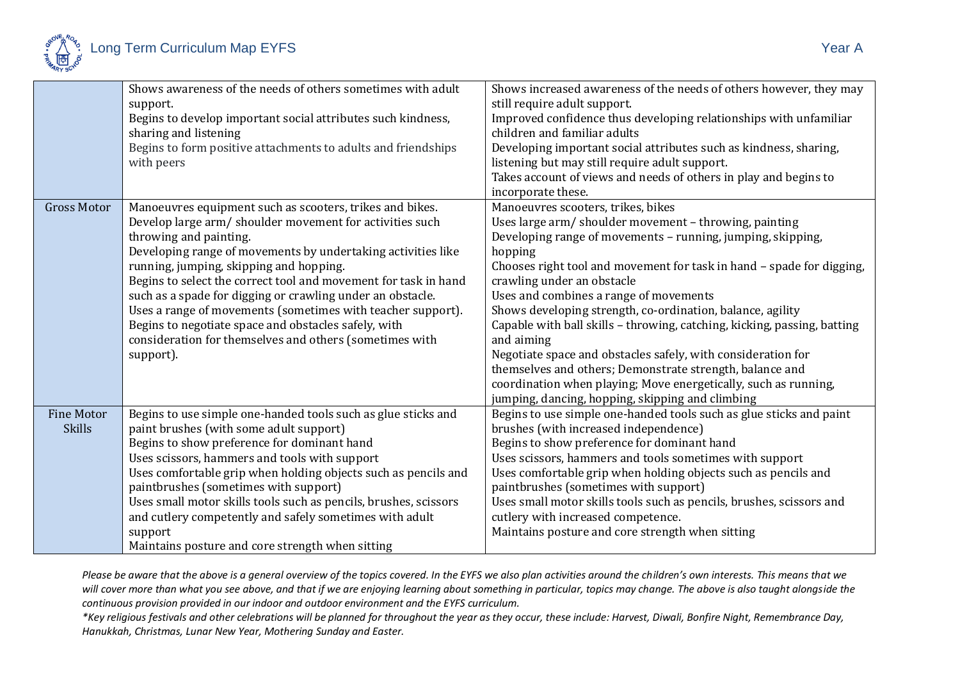

|                                    | Shows awareness of the needs of others sometimes with adult<br>support.<br>Begins to develop important social attributes such kindness,<br>sharing and listening<br>Begins to form positive attachments to adults and friendships<br>with peers                                                                                                                                                                                                                                                                                                                                           | Shows increased awareness of the needs of others however, they may<br>still require adult support.<br>Improved confidence thus developing relationships with unfamiliar<br>children and familiar adults<br>Developing important social attributes such as kindness, sharing,<br>listening but may still require adult support.<br>Takes account of views and needs of others in play and begins to<br>incorporate these.                                                                                                                                                                                                                                                                                                          |
|------------------------------------|-------------------------------------------------------------------------------------------------------------------------------------------------------------------------------------------------------------------------------------------------------------------------------------------------------------------------------------------------------------------------------------------------------------------------------------------------------------------------------------------------------------------------------------------------------------------------------------------|-----------------------------------------------------------------------------------------------------------------------------------------------------------------------------------------------------------------------------------------------------------------------------------------------------------------------------------------------------------------------------------------------------------------------------------------------------------------------------------------------------------------------------------------------------------------------------------------------------------------------------------------------------------------------------------------------------------------------------------|
| <b>Gross Motor</b>                 | Manoeuvres equipment such as scooters, trikes and bikes.<br>Develop large arm/ shoulder movement for activities such<br>throwing and painting.<br>Developing range of movements by undertaking activities like<br>running, jumping, skipping and hopping.<br>Begins to select the correct tool and movement for task in hand<br>such as a spade for digging or crawling under an obstacle.<br>Uses a range of movements (sometimes with teacher support).<br>Begins to negotiate space and obstacles safely, with<br>consideration for themselves and others (sometimes with<br>support). | Manoeuvres scooters, trikes, bikes<br>Uses large arm/shoulder movement - throwing, painting<br>Developing range of movements - running, jumping, skipping,<br>hopping<br>Chooses right tool and movement for task in hand - spade for digging,<br>crawling under an obstacle<br>Uses and combines a range of movements<br>Shows developing strength, co-ordination, balance, agility<br>Capable with ball skills - throwing, catching, kicking, passing, batting<br>and aiming<br>Negotiate space and obstacles safely, with consideration for<br>themselves and others; Demonstrate strength, balance and<br>coordination when playing; Move energetically, such as running,<br>jumping, dancing, hopping, skipping and climbing |
| <b>Fine Motor</b><br><b>Skills</b> | Begins to use simple one-handed tools such as glue sticks and<br>paint brushes (with some adult support)<br>Begins to show preference for dominant hand<br>Uses scissors, hammers and tools with support<br>Uses comfortable grip when holding objects such as pencils and<br>paintbrushes (sometimes with support)<br>Uses small motor skills tools such as pencils, brushes, scissors<br>and cutlery competently and safely sometimes with adult<br>support<br>Maintains posture and core strength when sitting                                                                         | Begins to use simple one-handed tools such as glue sticks and paint<br>brushes (with increased independence)<br>Begins to show preference for dominant hand<br>Uses scissors, hammers and tools sometimes with support<br>Uses comfortable grip when holding objects such as pencils and<br>paintbrushes (sometimes with support)<br>Uses small motor skills tools such as pencils, brushes, scissors and<br>cutlery with increased competence.<br>Maintains posture and core strength when sitting                                                                                                                                                                                                                               |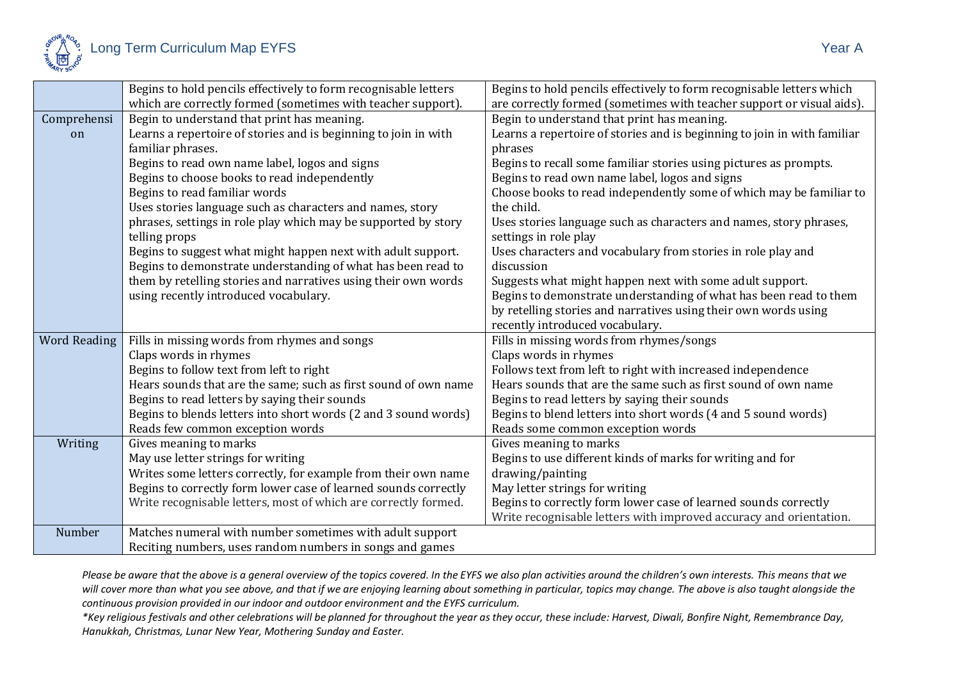

|                     | Begins to hold pencils effectively to form recognisable letters | Begins to hold pencils effectively to form recognisable letters which    |
|---------------------|-----------------------------------------------------------------|--------------------------------------------------------------------------|
|                     | which are correctly formed (sometimes with teacher support).    | are correctly formed (sometimes with teacher support or visual aids).    |
| Comprehensi         | Begin to understand that print has meaning.                     | Begin to understand that print has meaning.                              |
| on                  | Learns a repertoire of stories and is beginning to join in with | Learns a repertoire of stories and is beginning to join in with familiar |
|                     | familiar phrases.                                               | phrases                                                                  |
|                     | Begins to read own name label, logos and signs                  | Begins to recall some familiar stories using pictures as prompts.        |
|                     | Begins to choose books to read independently                    | Begins to read own name label, logos and signs                           |
|                     | Begins to read familiar words                                   | Choose books to read independently some of which may be familiar to      |
|                     | Uses stories language such as characters and names, story       | the child.                                                               |
|                     | phrases, settings in role play which may be supported by story  | Uses stories language such as characters and names, story phrases,       |
|                     | telling props                                                   | settings in role play                                                    |
|                     | Begins to suggest what might happen next with adult support.    | Uses characters and vocabulary from stories in role play and             |
|                     | Begins to demonstrate understanding of what has been read to    | discussion                                                               |
|                     | them by retelling stories and narratives using their own words  | Suggests what might happen next with some adult support.                 |
|                     | using recently introduced vocabulary.                           | Begins to demonstrate understanding of what has been read to them        |
|                     |                                                                 | by retelling stories and narratives using their own words using          |
|                     |                                                                 | recently introduced vocabulary.                                          |
| <b>Word Reading</b> | Fills in missing words from rhymes and songs                    | Fills in missing words from rhymes/songs                                 |
|                     | Claps words in rhymes                                           | Claps words in rhymes                                                    |
|                     | Begins to follow text from left to right                        | Follows text from left to right with increased independence              |
|                     | Hears sounds that are the same; such as first sound of own name | Hears sounds that are the same such as first sound of own name           |
|                     | Begins to read letters by saying their sounds                   | Begins to read letters by saying their sounds                            |
|                     | Begins to blends letters into short words (2 and 3 sound words) | Begins to blend letters into short words (4 and 5 sound words)           |
|                     | Reads few common exception words                                | Reads some common exception words                                        |
| Writing             | Gives meaning to marks                                          | Gives meaning to marks                                                   |
|                     | May use letter strings for writing                              | Begins to use different kinds of marks for writing and for               |
|                     | Writes some letters correctly, for example from their own name  | drawing/painting                                                         |
|                     | Begins to correctly form lower case of learned sounds correctly | May letter strings for writing                                           |
|                     | Write recognisable letters, most of which are correctly formed. | Begins to correctly form lower case of learned sounds correctly          |
|                     |                                                                 | Write recognisable letters with improved accuracy and orientation.       |
| Number              | Matches numeral with number sometimes with adult support        |                                                                          |
|                     | Reciting numbers, uses random numbers in songs and games        |                                                                          |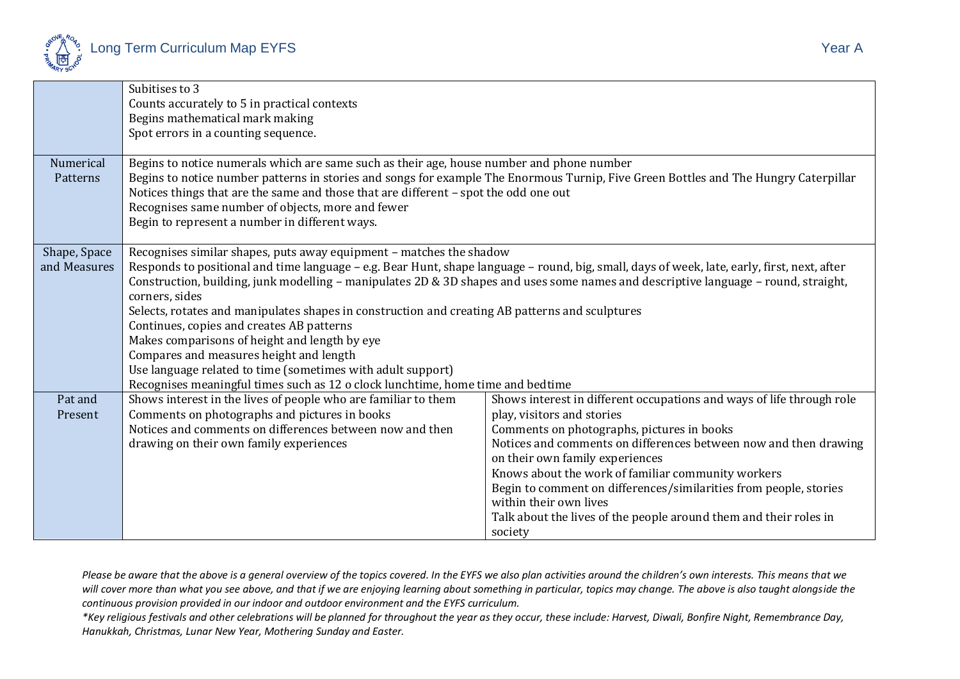

|              | Subitises to 3                                                                                                                               |                                                                                                                                      |  |
|--------------|----------------------------------------------------------------------------------------------------------------------------------------------|--------------------------------------------------------------------------------------------------------------------------------------|--|
|              | Counts accurately to 5 in practical contexts                                                                                                 |                                                                                                                                      |  |
|              | Begins mathematical mark making                                                                                                              |                                                                                                                                      |  |
|              | Spot errors in a counting sequence.                                                                                                          |                                                                                                                                      |  |
|              |                                                                                                                                              |                                                                                                                                      |  |
| Numerical    | Begins to notice numerals which are same such as their age, house number and phone number                                                    |                                                                                                                                      |  |
| Patterns     |                                                                                                                                              | Begins to notice number patterns in stories and songs for example The Enormous Turnip, Five Green Bottles and The Hungry Caterpillar |  |
|              | Notices things that are the same and those that are different - spot the odd one out                                                         |                                                                                                                                      |  |
|              | Recognises same number of objects, more and fewer                                                                                            |                                                                                                                                      |  |
|              | Begin to represent a number in different ways.                                                                                               |                                                                                                                                      |  |
|              |                                                                                                                                              |                                                                                                                                      |  |
| Shape, Space | Recognises similar shapes, puts away equipment - matches the shadow                                                                          |                                                                                                                                      |  |
| and Measures | Responds to positional and time language - e.g. Bear Hunt, shape language - round, big, small, days of week, late, early, first, next, after |                                                                                                                                      |  |
|              | Construction, building, junk modelling - manipulates 2D & 3D shapes and uses some names and descriptive language - round, straight,          |                                                                                                                                      |  |
|              | corners, sides                                                                                                                               |                                                                                                                                      |  |
|              | Selects, rotates and manipulates shapes in construction and creating AB patterns and sculptures                                              |                                                                                                                                      |  |
|              | Continues, copies and creates AB patterns                                                                                                    |                                                                                                                                      |  |
|              | Makes comparisons of height and length by eye                                                                                                |                                                                                                                                      |  |
|              | Compares and measures height and length                                                                                                      |                                                                                                                                      |  |
|              | Use language related to time (sometimes with adult support)                                                                                  |                                                                                                                                      |  |
|              | Recognises meaningful times such as 12 o clock lunchtime, home time and bedtime                                                              |                                                                                                                                      |  |
| Pat and      | Shows interest in the lives of people who are familiar to them                                                                               | Shows interest in different occupations and ways of life through role                                                                |  |
| Present      | Comments on photographs and pictures in books                                                                                                | play, visitors and stories                                                                                                           |  |
|              | Notices and comments on differences between now and then                                                                                     | Comments on photographs, pictures in books                                                                                           |  |
|              | drawing on their own family experiences                                                                                                      | Notices and comments on differences between now and then drawing                                                                     |  |
|              |                                                                                                                                              | on their own family experiences                                                                                                      |  |
|              |                                                                                                                                              | Knows about the work of familiar community workers                                                                                   |  |
|              |                                                                                                                                              | Begin to comment on differences/similarities from people, stories                                                                    |  |
|              |                                                                                                                                              | within their own lives                                                                                                               |  |
|              |                                                                                                                                              | Talk about the lives of the people around them and their roles in                                                                    |  |
|              |                                                                                                                                              | society                                                                                                                              |  |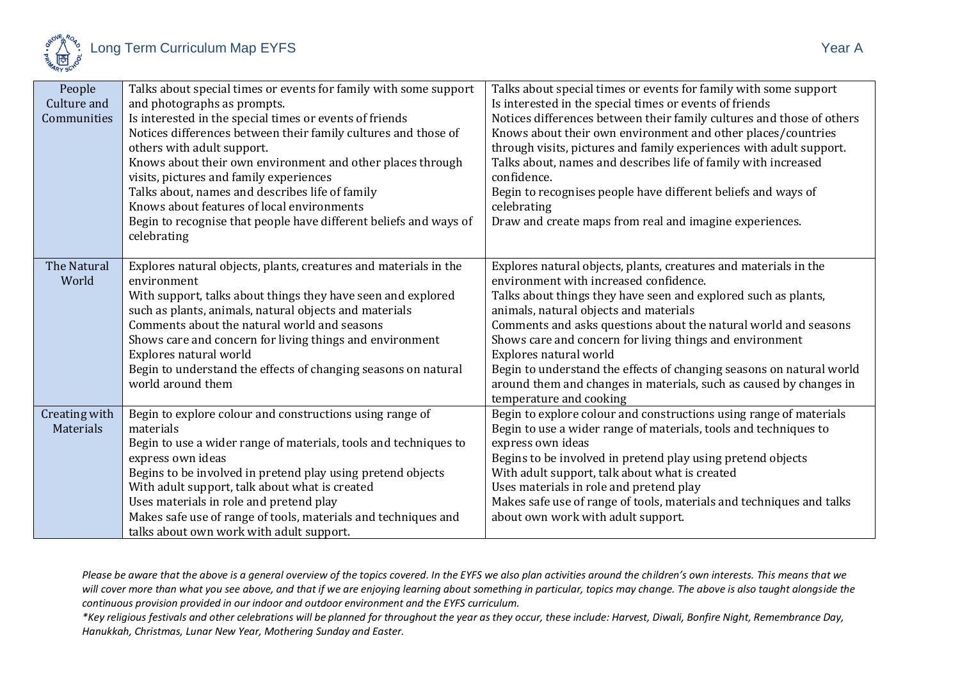

| People<br>Culture and | Talks about special times or events for family with some support<br>and photographs as prompts. | Talks about special times or events for family with some support<br>Is interested in the special times or events of friends |
|-----------------------|-------------------------------------------------------------------------------------------------|-----------------------------------------------------------------------------------------------------------------------------|
| Communities           | Is interested in the special times or events of friends                                         | Notices differences between their family cultures and those of others                                                       |
|                       | Notices differences between their family cultures and those of                                  | Knows about their own environment and other places/countries                                                                |
|                       |                                                                                                 | through visits, pictures and family experiences with adult support.                                                         |
|                       | others with adult support.                                                                      |                                                                                                                             |
|                       | Knows about their own environment and other places through                                      | Talks about, names and describes life of family with increased                                                              |
|                       | visits, pictures and family experiences                                                         | confidence.                                                                                                                 |
|                       | Talks about, names and describes life of family                                                 | Begin to recognises people have different beliefs and ways of                                                               |
|                       | Knows about features of local environments                                                      | celebrating                                                                                                                 |
|                       | Begin to recognise that people have different beliefs and ways of                               | Draw and create maps from real and imagine experiences.                                                                     |
|                       | celebrating                                                                                     |                                                                                                                             |
|                       |                                                                                                 |                                                                                                                             |
| The Natural           | Explores natural objects, plants, creatures and materials in the                                | Explores natural objects, plants, creatures and materials in the                                                            |
| World                 | environment                                                                                     | environment with increased confidence.                                                                                      |
|                       | With support, talks about things they have seen and explored                                    | Talks about things they have seen and explored such as plants,                                                              |
|                       | such as plants, animals, natural objects and materials                                          | animals, natural objects and materials                                                                                      |
|                       | Comments about the natural world and seasons                                                    | Comments and asks questions about the natural world and seasons                                                             |
|                       | Shows care and concern for living things and environment                                        | Shows care and concern for living things and environment                                                                    |
|                       | Explores natural world                                                                          | Explores natural world                                                                                                      |
|                       | Begin to understand the effects of changing seasons on natural                                  | Begin to understand the effects of changing seasons on natural world                                                        |
|                       | world around them                                                                               | around them and changes in materials, such as caused by changes in                                                          |
|                       |                                                                                                 | temperature and cooking                                                                                                     |
| Creating with         | Begin to explore colour and constructions using range of                                        | Begin to explore colour and constructions using range of materials                                                          |
| Materials             | materials                                                                                       | Begin to use a wider range of materials, tools and techniques to                                                            |
|                       | Begin to use a wider range of materials, tools and techniques to                                | express own ideas                                                                                                           |
|                       | express own ideas                                                                               | Begins to be involved in pretend play using pretend objects                                                                 |
|                       | Begins to be involved in pretend play using pretend objects                                     | With adult support, talk about what is created                                                                              |
|                       | With adult support, talk about what is created                                                  | Uses materials in role and pretend play                                                                                     |
|                       | Uses materials in role and pretend play                                                         | Makes safe use of range of tools, materials and techniques and talks                                                        |
|                       | Makes safe use of range of tools, materials and techniques and                                  | about own work with adult support.                                                                                          |
|                       | talks about own work with adult support.                                                        |                                                                                                                             |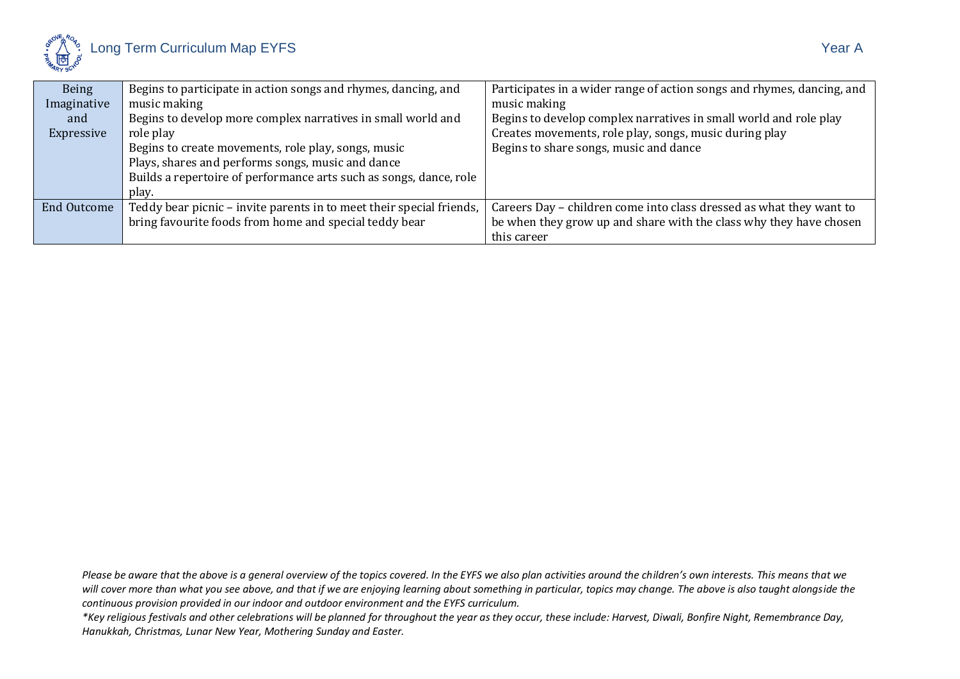

| Being              | Begins to participate in action songs and rhymes, dancing, and       | Participates in a wider range of action songs and rhymes, dancing, and |
|--------------------|----------------------------------------------------------------------|------------------------------------------------------------------------|
| Imaginative        | music making                                                         | music making                                                           |
| and                | Begins to develop more complex narratives in small world and         | Begins to develop complex narratives in small world and role play      |
| Expressive         | role play                                                            | Creates movements, role play, songs, music during play                 |
|                    | Begins to create movements, role play, songs, music                  | Begins to share songs, music and dance                                 |
|                    | Plays, shares and performs songs, music and dance                    |                                                                        |
|                    | Builds a repertoire of performance arts such as songs, dance, role   |                                                                        |
|                    | play.                                                                |                                                                        |
| <b>End Outcome</b> | Teddy bear picnic – invite parents in to meet their special friends, | Careers Day – children come into class dressed as what they want to    |
|                    | bring favourite foods from home and special teddy bear               | be when they grow up and share with the class why they have chosen     |
|                    |                                                                      | this career                                                            |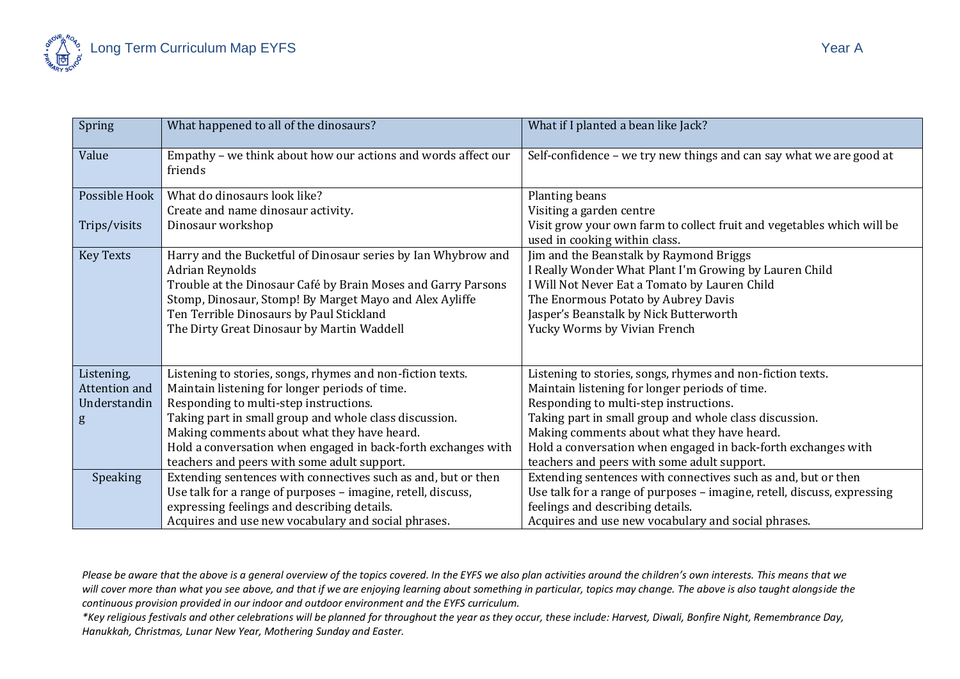| Spring           | What happened to all of the dinosaurs?                                   | What if I planted a bean like Jack?                                                                     |
|------------------|--------------------------------------------------------------------------|---------------------------------------------------------------------------------------------------------|
| Value            | Empathy - we think about how our actions and words affect our<br>friends | Self-confidence - we try new things and can say what we are good at                                     |
| Possible Hook    | What do dinosaurs look like?                                             | Planting beans                                                                                          |
|                  | Create and name dinosaur activity.                                       | Visiting a garden centre                                                                                |
| Trips/visits     | Dinosaur workshop                                                        | Visit grow your own farm to collect fruit and vegetables which will be<br>used in cooking within class. |
| <b>Key Texts</b> | Harry and the Bucketful of Dinosaur series by Ian Whybrow and            | Jim and the Beanstalk by Raymond Briggs                                                                 |
|                  | Adrian Reynolds                                                          | I Really Wonder What Plant I'm Growing by Lauren Child                                                  |
|                  | Trouble at the Dinosaur Café by Brain Moses and Garry Parsons            | I Will Not Never Eat a Tomato by Lauren Child                                                           |
|                  | Stomp, Dinosaur, Stomp! By Marget Mayo and Alex Ayliffe                  | The Enormous Potato by Aubrey Davis                                                                     |
|                  | Ten Terrible Dinosaurs by Paul Stickland                                 | Jasper's Beanstalk by Nick Butterworth                                                                  |
|                  | The Dirty Great Dinosaur by Martin Waddell                               | Yucky Worms by Vivian French                                                                            |
|                  |                                                                          |                                                                                                         |
| Listening,       | Listening to stories, songs, rhymes and non-fiction texts.               | Listening to stories, songs, rhymes and non-fiction texts.                                              |
| Attention and    | Maintain listening for longer periods of time.                           | Maintain listening for longer periods of time.                                                          |
| Understandin     | Responding to multi-step instructions.                                   | Responding to multi-step instructions.                                                                  |
| g                | Taking part in small group and whole class discussion.                   | Taking part in small group and whole class discussion.                                                  |
|                  | Making comments about what they have heard.                              | Making comments about what they have heard.                                                             |
|                  | Hold a conversation when engaged in back-forth exchanges with            | Hold a conversation when engaged in back-forth exchanges with                                           |
|                  | teachers and peers with some adult support.                              | teachers and peers with some adult support.                                                             |
| Speaking         | Extending sentences with connectives such as and, but or then            | Extending sentences with connectives such as and, but or then                                           |
|                  | Use talk for a range of purposes - imagine, retell, discuss,             | Use talk for a range of purposes - imagine, retell, discuss, expressing                                 |
|                  | expressing feelings and describing details.                              | feelings and describing details.                                                                        |
|                  | Acquires and use new vocabulary and social phrases.                      | Acquires and use new vocabulary and social phrases.                                                     |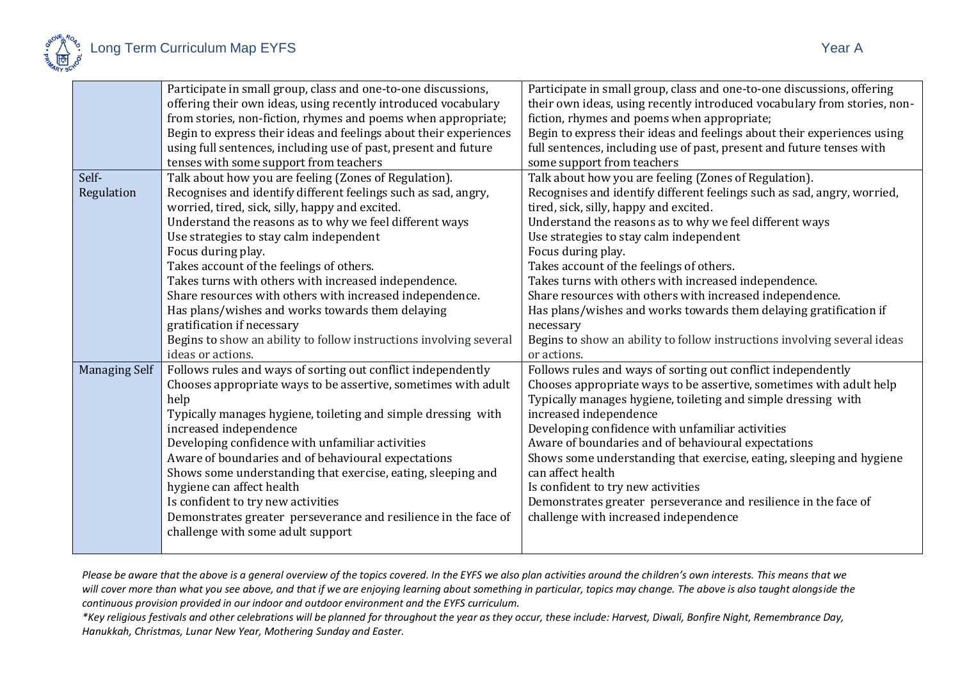

|                      | Participate in small group, class and one-to-one discussions,      | Participate in small group, class and one-to-one discussions, offering   |
|----------------------|--------------------------------------------------------------------|--------------------------------------------------------------------------|
|                      | offering their own ideas, using recently introduced vocabulary     | their own ideas, using recently introduced vocabulary from stories, non- |
|                      | from stories, non-fiction, rhymes and poems when appropriate;      | fiction, rhymes and poems when appropriate;                              |
|                      | Begin to express their ideas and feelings about their experiences  | Begin to express their ideas and feelings about their experiences using  |
|                      | using full sentences, including use of past, present and future    | full sentences, including use of past, present and future tenses with    |
|                      | tenses with some support from teachers                             | some support from teachers                                               |
| Self-                | Talk about how you are feeling (Zones of Regulation).              | Talk about how you are feeling (Zones of Regulation).                    |
| Regulation           | Recognises and identify different feelings such as sad, angry,     | Recognises and identify different feelings such as sad, angry, worried,  |
|                      | worried, tired, sick, silly, happy and excited.                    | tired, sick, silly, happy and excited.                                   |
|                      | Understand the reasons as to why we feel different ways            | Understand the reasons as to why we feel different ways                  |
|                      | Use strategies to stay calm independent                            | Use strategies to stay calm independent                                  |
|                      | Focus during play.                                                 | Focus during play.                                                       |
|                      | Takes account of the feelings of others.                           | Takes account of the feelings of others.                                 |
|                      | Takes turns with others with increased independence.               | Takes turns with others with increased independence.                     |
|                      | Share resources with others with increased independence.           | Share resources with others with increased independence.                 |
|                      | Has plans/wishes and works towards them delaying                   | Has plans/wishes and works towards them delaying gratification if        |
|                      | gratification if necessary                                         | necessary                                                                |
|                      | Begins to show an ability to follow instructions involving several | Begins to show an ability to follow instructions involving several ideas |
|                      | ideas or actions.                                                  | or actions.                                                              |
| <b>Managing Self</b> | Follows rules and ways of sorting out conflict independently       | Follows rules and ways of sorting out conflict independently             |
|                      | Chooses appropriate ways to be assertive, sometimes with adult     | Chooses appropriate ways to be assertive, sometimes with adult help      |
|                      | help                                                               | Typically manages hygiene, toileting and simple dressing with            |
|                      | Typically manages hygiene, toileting and simple dressing with      | increased independence                                                   |
|                      | increased independence                                             | Developing confidence with unfamiliar activities                         |
|                      | Developing confidence with unfamiliar activities                   | Aware of boundaries and of behavioural expectations                      |
|                      | Aware of boundaries and of behavioural expectations                | Shows some understanding that exercise, eating, sleeping and hygiene     |
|                      | Shows some understanding that exercise, eating, sleeping and       | can affect health                                                        |
|                      | hygiene can affect health                                          | Is confident to try new activities                                       |
|                      | Is confident to try new activities                                 | Demonstrates greater perseverance and resilience in the face of          |
|                      | Demonstrates greater perseverance and resilience in the face of    | challenge with increased independence                                    |
|                      | challenge with some adult support                                  |                                                                          |
|                      |                                                                    |                                                                          |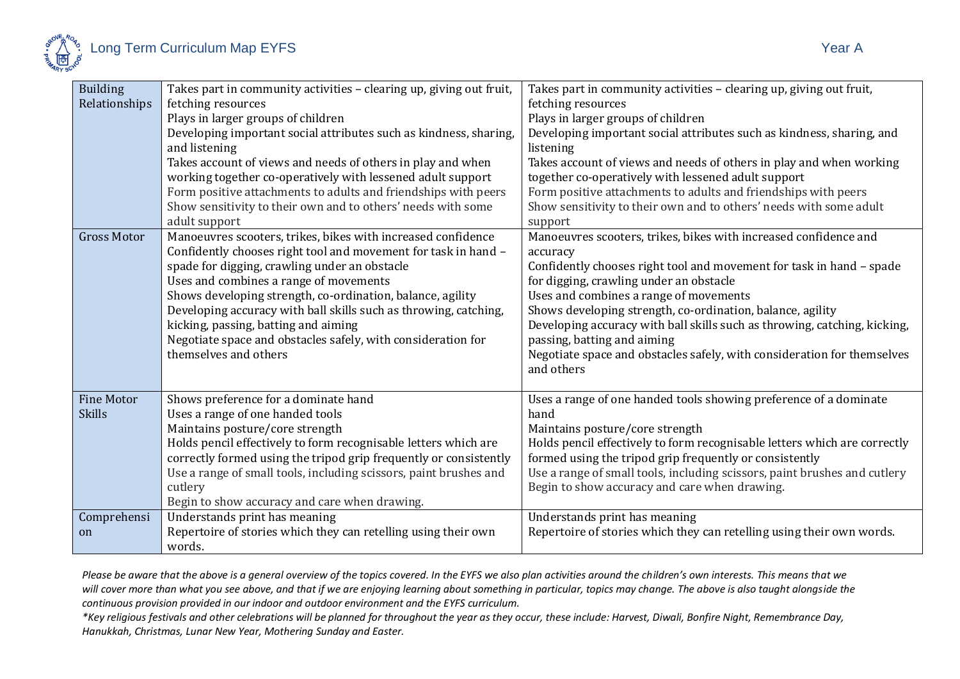

| <b>Building</b>    | Takes part in community activities - clearing up, giving out fruit, | Takes part in community activities - clearing up, giving out fruit,       |
|--------------------|---------------------------------------------------------------------|---------------------------------------------------------------------------|
| Relationships      | fetching resources                                                  | fetching resources                                                        |
|                    | Plays in larger groups of children                                  | Plays in larger groups of children                                        |
|                    | Developing important social attributes such as kindness, sharing,   | Developing important social attributes such as kindness, sharing, and     |
|                    | and listening                                                       | listening                                                                 |
|                    | Takes account of views and needs of others in play and when         | Takes account of views and needs of others in play and when working       |
|                    | working together co-operatively with lessened adult support         | together co-operatively with lessened adult support                       |
|                    | Form positive attachments to adults and friendships with peers      | Form positive attachments to adults and friendships with peers            |
|                    | Show sensitivity to their own and to others' needs with some        | Show sensitivity to their own and to others' needs with some adult        |
|                    | adult support                                                       | support                                                                   |
| <b>Gross Motor</b> | Manoeuvres scooters, trikes, bikes with increased confidence        | Manoeuvres scooters, trikes, bikes with increased confidence and          |
|                    | Confidently chooses right tool and movement for task in hand -      | accuracy                                                                  |
|                    | spade for digging, crawling under an obstacle                       | Confidently chooses right tool and movement for task in hand - spade      |
|                    | Uses and combines a range of movements                              | for digging, crawling under an obstacle                                   |
|                    | Shows developing strength, co-ordination, balance, agility          | Uses and combines a range of movements                                    |
|                    | Developing accuracy with ball skills such as throwing, catching,    | Shows developing strength, co-ordination, balance, agility                |
|                    | kicking, passing, batting and aiming                                | Developing accuracy with ball skills such as throwing, catching, kicking, |
|                    | Negotiate space and obstacles safely, with consideration for        | passing, batting and aiming                                               |
|                    | themselves and others                                               | Negotiate space and obstacles safely, with consideration for themselves   |
|                    |                                                                     | and others                                                                |
|                    |                                                                     |                                                                           |
| <b>Fine Motor</b>  | Shows preference for a dominate hand                                | Uses a range of one handed tools showing preference of a dominate         |
| <b>Skills</b>      | Uses a range of one handed tools                                    | hand                                                                      |
|                    | Maintains posture/core strength                                     | Maintains posture/core strength                                           |
|                    | Holds pencil effectively to form recognisable letters which are     | Holds pencil effectively to form recognisable letters which are correctly |
|                    | correctly formed using the tripod grip frequently or consistently   | formed using the tripod grip frequently or consistently                   |
|                    | Use a range of small tools, including scissors, paint brushes and   | Use a range of small tools, including scissors, paint brushes and cutlery |
|                    | cutlery                                                             | Begin to show accuracy and care when drawing.                             |
|                    | Begin to show accuracy and care when drawing.                       |                                                                           |
| Comprehensi        | Understands print has meaning                                       | Understands print has meaning                                             |
| on                 | Repertoire of stories which they can retelling using their own      | Repertoire of stories which they can retelling using their own words.     |
|                    | words.                                                              |                                                                           |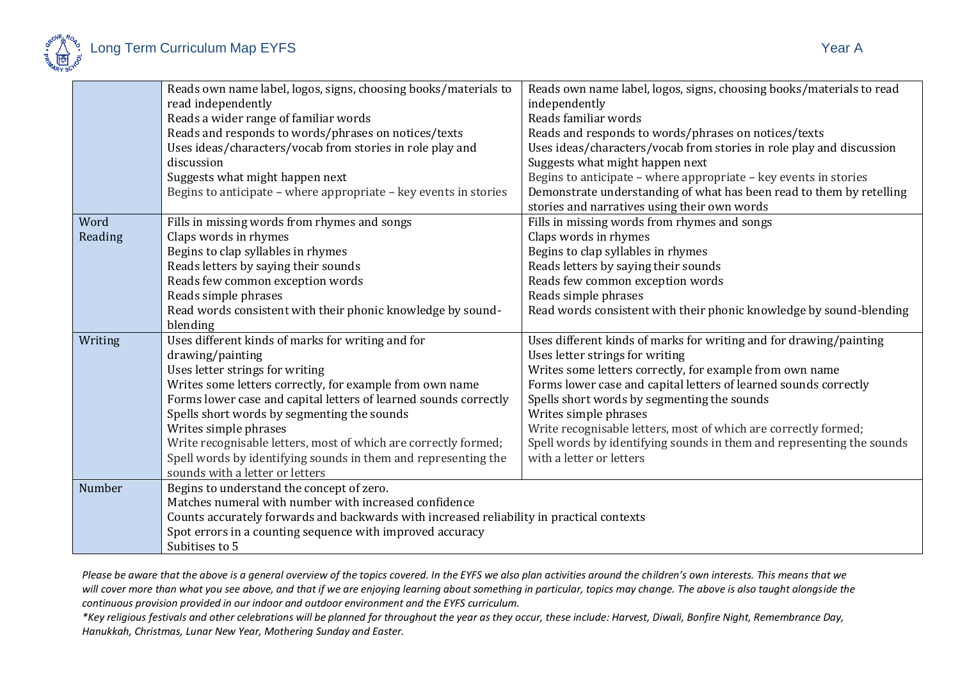

|         | Reads own name label, logos, signs, choosing books/materials to                           | Reads own name label, logos, signs, choosing books/materials to read  |
|---------|-------------------------------------------------------------------------------------------|-----------------------------------------------------------------------|
|         | read independently                                                                        | independently                                                         |
|         | Reads a wider range of familiar words                                                     | Reads familiar words                                                  |
|         | Reads and responds to words/phrases on notices/texts                                      | Reads and responds to words/phrases on notices/texts                  |
|         | Uses ideas/characters/vocab from stories in role play and                                 | Uses ideas/characters/vocab from stories in role play and discussion  |
|         | discussion                                                                                | Suggests what might happen next                                       |
|         | Suggests what might happen next                                                           | Begins to anticipate - where appropriate - key events in stories      |
|         | Begins to anticipate – where appropriate – key events in stories                          | Demonstrate understanding of what has been read to them by retelling  |
|         |                                                                                           | stories and narratives using their own words                          |
| Word    | Fills in missing words from rhymes and songs                                              | Fills in missing words from rhymes and songs                          |
| Reading | Claps words in rhymes                                                                     | Claps words in rhymes                                                 |
|         | Begins to clap syllables in rhymes                                                        | Begins to clap syllables in rhymes                                    |
|         | Reads letters by saying their sounds                                                      | Reads letters by saying their sounds                                  |
|         | Reads few common exception words                                                          | Reads few common exception words                                      |
|         | Reads simple phrases                                                                      | Reads simple phrases                                                  |
|         | Read words consistent with their phonic knowledge by sound-                               | Read words consistent with their phonic knowledge by sound-blending   |
|         | blending                                                                                  |                                                                       |
| Writing | Uses different kinds of marks for writing and for                                         | Uses different kinds of marks for writing and for drawing/painting    |
|         | drawing/painting                                                                          | Uses letter strings for writing                                       |
|         | Uses letter strings for writing                                                           | Writes some letters correctly, for example from own name              |
|         | Writes some letters correctly, for example from own name                                  | Forms lower case and capital letters of learned sounds correctly      |
|         | Forms lower case and capital letters of learned sounds correctly                          | Spells short words by segmenting the sounds                           |
|         | Spells short words by segmenting the sounds                                               | Writes simple phrases                                                 |
|         | Writes simple phrases                                                                     | Write recognisable letters, most of which are correctly formed;       |
|         | Write recognisable letters, most of which are correctly formed;                           | Spell words by identifying sounds in them and representing the sounds |
|         | Spell words by identifying sounds in them and representing the                            | with a letter or letters                                              |
|         | sounds with a letter or letters                                                           |                                                                       |
| Number  | Begins to understand the concept of zero.                                                 |                                                                       |
|         | Matches numeral with number with increased confidence                                     |                                                                       |
|         | Counts accurately forwards and backwards with increased reliability in practical contexts |                                                                       |
|         | Spot errors in a counting sequence with improved accuracy                                 |                                                                       |
|         | Subitises to 5                                                                            |                                                                       |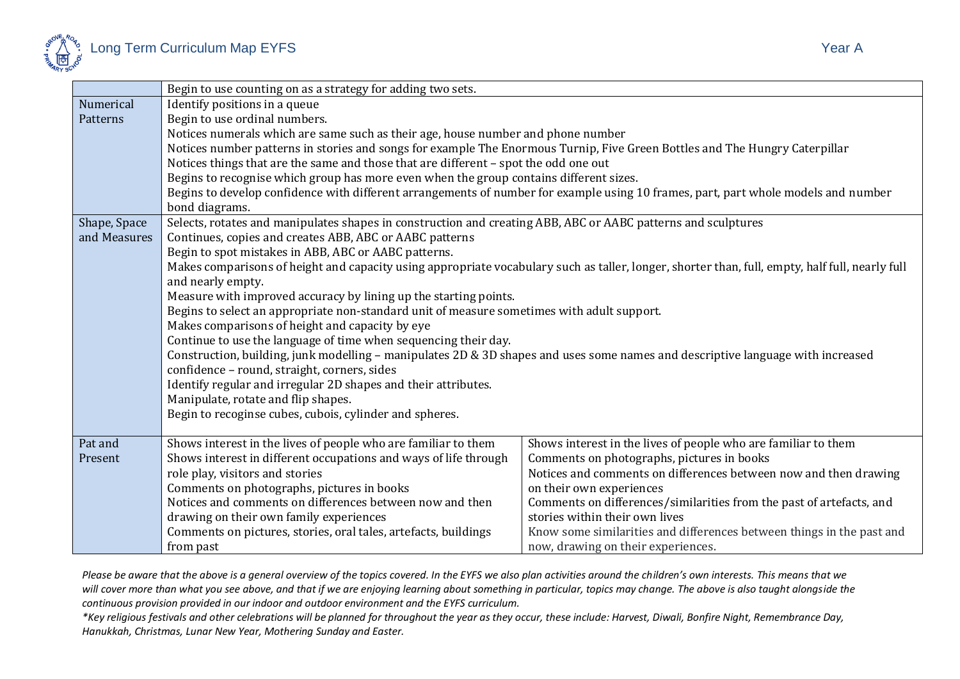

| ÷<br>۰, |  |
|---------|--|
|---------|--|

|              | Begin to use counting on as a strategy for adding two sets.                                                                                     |                                                                       |  |
|--------------|-------------------------------------------------------------------------------------------------------------------------------------------------|-----------------------------------------------------------------------|--|
| Numerical    | Identify positions in a queue                                                                                                                   |                                                                       |  |
| Patterns     | Begin to use ordinal numbers.                                                                                                                   |                                                                       |  |
|              | Notices numerals which are same such as their age, house number and phone number                                                                |                                                                       |  |
|              | Notices number patterns in stories and songs for example The Enormous Turnip, Five Green Bottles and The Hungry Caterpillar                     |                                                                       |  |
|              | Notices things that are the same and those that are different - spot the odd one out                                                            |                                                                       |  |
|              | Begins to recognise which group has more even when the group contains different sizes.                                                          |                                                                       |  |
|              | Begins to develop confidence with different arrangements of number for example using 10 frames, part, part whole models and number              |                                                                       |  |
|              | bond diagrams.                                                                                                                                  |                                                                       |  |
| Shape, Space | Selects, rotates and manipulates shapes in construction and creating ABB, ABC or AABC patterns and sculptures                                   |                                                                       |  |
| and Measures | Continues, copies and creates ABB, ABC or AABC patterns                                                                                         |                                                                       |  |
|              | Begin to spot mistakes in ABB, ABC or AABC patterns.                                                                                            |                                                                       |  |
|              | Makes comparisons of height and capacity using appropriate vocabulary such as taller, longer, shorter than, full, empty, half full, nearly full |                                                                       |  |
|              | and nearly empty.                                                                                                                               |                                                                       |  |
|              | Measure with improved accuracy by lining up the starting points.                                                                                |                                                                       |  |
|              | Begins to select an appropriate non-standard unit of measure sometimes with adult support.                                                      |                                                                       |  |
|              | Makes comparisons of height and capacity by eye                                                                                                 |                                                                       |  |
|              | Continue to use the language of time when sequencing their day.                                                                                 |                                                                       |  |
|              | Construction, building, junk modelling – manipulates 2D & 3D shapes and uses some names and descriptive language with increased                 |                                                                       |  |
|              | confidence - round, straight, corners, sides                                                                                                    |                                                                       |  |
|              | Identify regular and irregular 2D shapes and their attributes.                                                                                  |                                                                       |  |
|              | Manipulate, rotate and flip shapes.                                                                                                             |                                                                       |  |
|              | Begin to recoginse cubes, cubois, cylinder and spheres.                                                                                         |                                                                       |  |
| Pat and      | Shows interest in the lives of people who are familiar to them                                                                                  | Shows interest in the lives of people who are familiar to them        |  |
| Present      | Shows interest in different occupations and ways of life through                                                                                | Comments on photographs, pictures in books                            |  |
|              | role play, visitors and stories                                                                                                                 | Notices and comments on differences between now and then drawing      |  |
|              | Comments on photographs, pictures in books                                                                                                      | on their own experiences                                              |  |
|              | Notices and comments on differences between now and then                                                                                        | Comments on differences/similarities from the past of artefacts, and  |  |
|              | drawing on their own family experiences                                                                                                         | stories within their own lives                                        |  |
|              | Comments on pictures, stories, oral tales, artefacts, buildings                                                                                 | Know some similarities and differences between things in the past and |  |
|              | from past                                                                                                                                       | now, drawing on their experiences.                                    |  |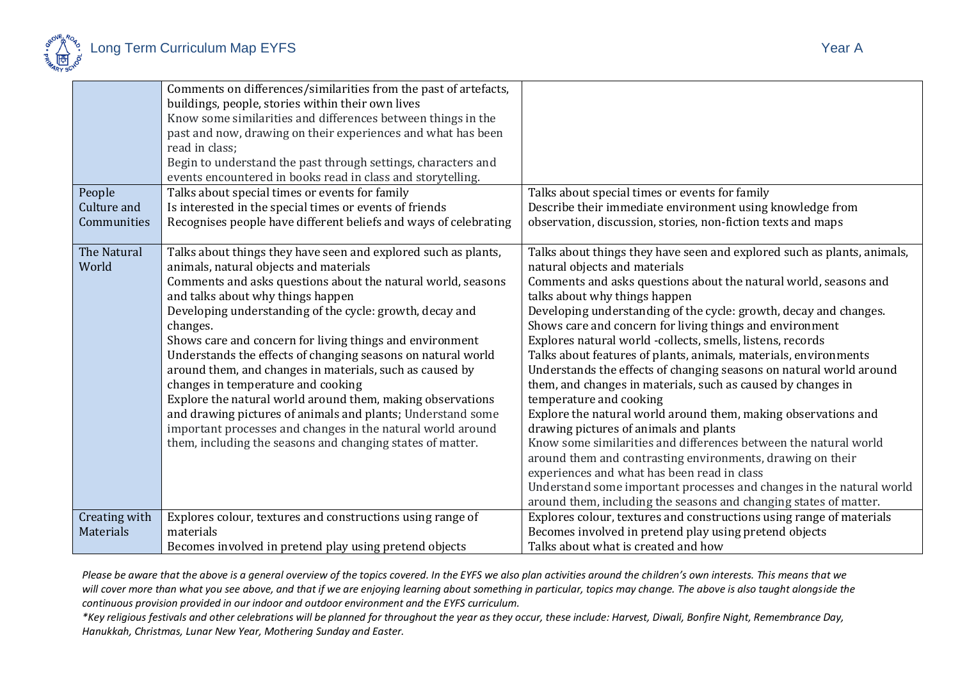

| People<br>Culture and<br>Communities | Comments on differences/similarities from the past of artefacts,<br>buildings, people, stories within their own lives<br>Know some similarities and differences between things in the<br>past and now, drawing on their experiences and what has been<br>read in class;<br>Begin to understand the past through settings, characters and<br>events encountered in books read in class and storytelling.<br>Talks about special times or events for family<br>Is interested in the special times or events of friends<br>Recognises people have different beliefs and ways of celebrating                                                                                                                                                                                      | Talks about special times or events for family<br>Describe their immediate environment using knowledge from<br>observation, discussion, stories, non-fiction texts and maps                                                                                                                                                                                                                                                                                                                                                                                                                                                                                                                                                                                                                                                                                                                                                                                                                                                                                                                  |
|--------------------------------------|-------------------------------------------------------------------------------------------------------------------------------------------------------------------------------------------------------------------------------------------------------------------------------------------------------------------------------------------------------------------------------------------------------------------------------------------------------------------------------------------------------------------------------------------------------------------------------------------------------------------------------------------------------------------------------------------------------------------------------------------------------------------------------|----------------------------------------------------------------------------------------------------------------------------------------------------------------------------------------------------------------------------------------------------------------------------------------------------------------------------------------------------------------------------------------------------------------------------------------------------------------------------------------------------------------------------------------------------------------------------------------------------------------------------------------------------------------------------------------------------------------------------------------------------------------------------------------------------------------------------------------------------------------------------------------------------------------------------------------------------------------------------------------------------------------------------------------------------------------------------------------------|
| The Natural<br>World                 | Talks about things they have seen and explored such as plants,<br>animals, natural objects and materials<br>Comments and asks questions about the natural world, seasons<br>and talks about why things happen<br>Developing understanding of the cycle: growth, decay and<br>changes.<br>Shows care and concern for living things and environment<br>Understands the effects of changing seasons on natural world<br>around them, and changes in materials, such as caused by<br>changes in temperature and cooking<br>Explore the natural world around them, making observations<br>and drawing pictures of animals and plants; Understand some<br>important processes and changes in the natural world around<br>them, including the seasons and changing states of matter. | Talks about things they have seen and explored such as plants, animals,<br>natural objects and materials<br>Comments and asks questions about the natural world, seasons and<br>talks about why things happen<br>Developing understanding of the cycle: growth, decay and changes.<br>Shows care and concern for living things and environment<br>Explores natural world -collects, smells, listens, records<br>Talks about features of plants, animals, materials, environments<br>Understands the effects of changing seasons on natural world around<br>them, and changes in materials, such as caused by changes in<br>temperature and cooking<br>Explore the natural world around them, making observations and<br>drawing pictures of animals and plants<br>Know some similarities and differences between the natural world<br>around them and contrasting environments, drawing on their<br>experiences and what has been read in class<br>Understand some important processes and changes in the natural world<br>around them, including the seasons and changing states of matter. |
| Creating with<br>Materials           | Explores colour, textures and constructions using range of<br>materials<br>Becomes involved in pretend play using pretend objects                                                                                                                                                                                                                                                                                                                                                                                                                                                                                                                                                                                                                                             | Explores colour, textures and constructions using range of materials<br>Becomes involved in pretend play using pretend objects<br>Talks about what is created and how                                                                                                                                                                                                                                                                                                                                                                                                                                                                                                                                                                                                                                                                                                                                                                                                                                                                                                                        |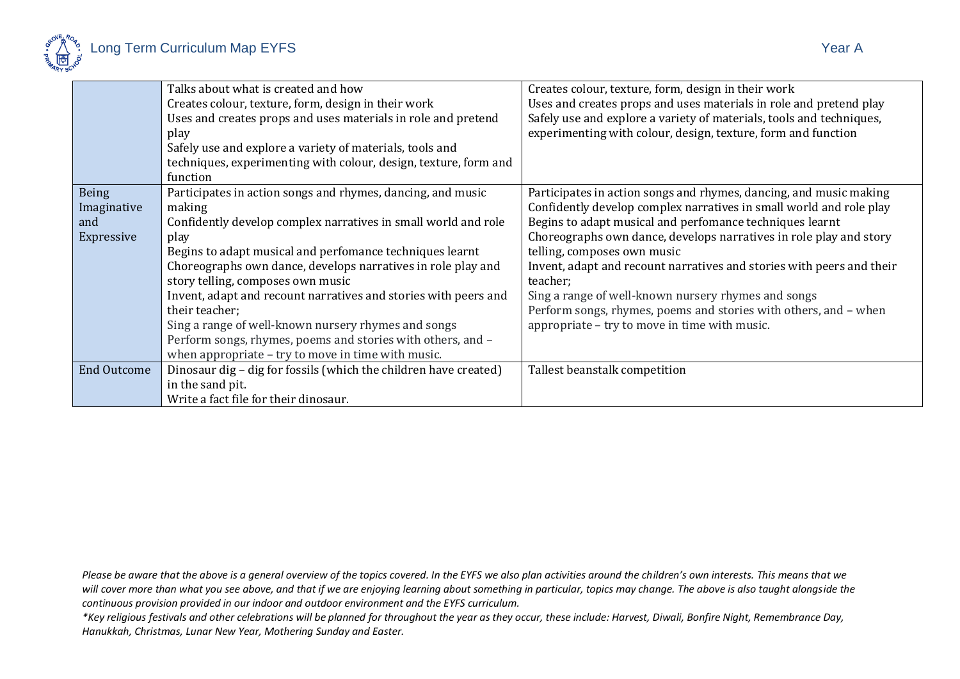

|                                                  | Talks about what is created and how<br>Creates colour, texture, form, design in their work<br>Uses and creates props and uses materials in role and pretend<br>play<br>Safely use and explore a variety of materials, tools and<br>techniques, experimenting with colour, design, texture, form and<br>function                                                                                                                                                                                                                                                                   | Creates colour, texture, form, design in their work<br>Uses and creates props and uses materials in role and pretend play<br>Safely use and explore a variety of materials, tools and techniques,<br>experimenting with colour, design, texture, form and function                                                                                                                                                                                                                                                                                                          |
|--------------------------------------------------|-----------------------------------------------------------------------------------------------------------------------------------------------------------------------------------------------------------------------------------------------------------------------------------------------------------------------------------------------------------------------------------------------------------------------------------------------------------------------------------------------------------------------------------------------------------------------------------|-----------------------------------------------------------------------------------------------------------------------------------------------------------------------------------------------------------------------------------------------------------------------------------------------------------------------------------------------------------------------------------------------------------------------------------------------------------------------------------------------------------------------------------------------------------------------------|
| <b>Being</b><br>Imaginative<br>and<br>Expressive | Participates in action songs and rhymes, dancing, and music<br>making<br>Confidently develop complex narratives in small world and role<br>play<br>Begins to adapt musical and perfomance techniques learnt<br>Choreographs own dance, develops narratives in role play and<br>story telling, composes own music<br>Invent, adapt and recount narratives and stories with peers and<br>their teacher:<br>Sing a range of well-known nursery rhymes and songs<br>Perform songs, rhymes, poems and stories with others, and -<br>when appropriate - try to move in time with music. | Participates in action songs and rhymes, dancing, and music making<br>Confidently develop complex narratives in small world and role play<br>Begins to adapt musical and perfomance techniques learnt<br>Choreographs own dance, develops narratives in role play and story<br>telling, composes own music<br>Invent, adapt and recount narratives and stories with peers and their<br>teacher;<br>Sing a range of well-known nursery rhymes and songs<br>Perform songs, rhymes, poems and stories with others, and - when<br>appropriate - try to move in time with music. |
| <b>End Outcome</b>                               | Dinosaur dig – dig for fossils (which the children have created)<br>in the sand pit.<br>Write a fact file for their dinosaur.                                                                                                                                                                                                                                                                                                                                                                                                                                                     | Tallest beanstalk competition                                                                                                                                                                                                                                                                                                                                                                                                                                                                                                                                               |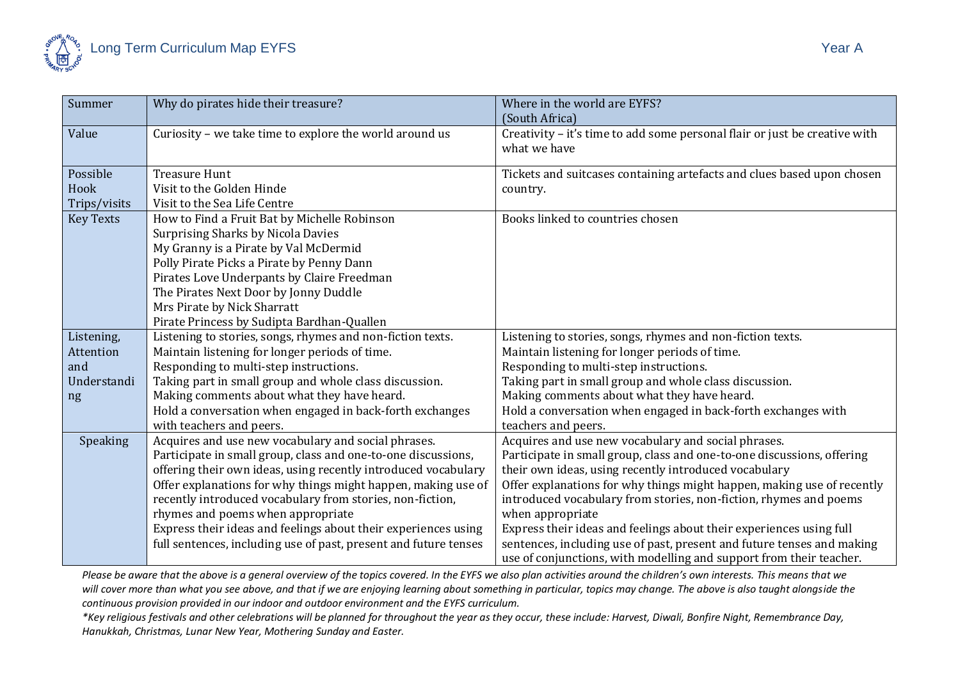

| Summer           | Why do pirates hide their treasure?                              | Where in the world are EYFS?                                               |
|------------------|------------------------------------------------------------------|----------------------------------------------------------------------------|
|                  |                                                                  | (South Africa)                                                             |
| Value            | Curiosity - we take time to explore the world around us          | Creativity - it's time to add some personal flair or just be creative with |
|                  |                                                                  | what we have                                                               |
| Possible         | <b>Treasure Hunt</b>                                             | Tickets and suitcases containing artefacts and clues based upon chosen     |
| Hook             | Visit to the Golden Hinde                                        | country.                                                                   |
| Trips/visits     | Visit to the Sea Life Centre                                     |                                                                            |
| <b>Key Texts</b> | How to Find a Fruit Bat by Michelle Robinson                     | Books linked to countries chosen                                           |
|                  | <b>Surprising Sharks by Nicola Davies</b>                        |                                                                            |
|                  | My Granny is a Pirate by Val McDermid                            |                                                                            |
|                  | Polly Pirate Picks a Pirate by Penny Dann                        |                                                                            |
|                  | Pirates Love Underpants by Claire Freedman                       |                                                                            |
|                  | The Pirates Next Door by Jonny Duddle                            |                                                                            |
|                  | Mrs Pirate by Nick Sharratt                                      |                                                                            |
|                  | Pirate Princess by Sudipta Bardhan-Quallen                       |                                                                            |
| Listening,       | Listening to stories, songs, rhymes and non-fiction texts.       | Listening to stories, songs, rhymes and non-fiction texts.                 |
| Attention        | Maintain listening for longer periods of time.                   | Maintain listening for longer periods of time.                             |
| and              | Responding to multi-step instructions.                           | Responding to multi-step instructions.                                     |
| Understandi      | Taking part in small group and whole class discussion.           | Taking part in small group and whole class discussion.                     |
| ng               | Making comments about what they have heard.                      | Making comments about what they have heard.                                |
|                  | Hold a conversation when engaged in back-forth exchanges         | Hold a conversation when engaged in back-forth exchanges with              |
|                  | with teachers and peers.                                         | teachers and peers.                                                        |
| Speaking         | Acquires and use new vocabulary and social phrases.              | Acquires and use new vocabulary and social phrases.                        |
|                  | Participate in small group, class and one-to-one discussions,    | Participate in small group, class and one-to-one discussions, offering     |
|                  | offering their own ideas, using recently introduced vocabulary   | their own ideas, using recently introduced vocabulary                      |
|                  | Offer explanations for why things might happen, making use of    | Offer explanations for why things might happen, making use of recently     |
|                  | recently introduced vocabulary from stories, non-fiction,        | introduced vocabulary from stories, non-fiction, rhymes and poems          |
|                  | rhymes and poems when appropriate                                | when appropriate                                                           |
|                  | Express their ideas and feelings about their experiences using   | Express their ideas and feelings about their experiences using full        |
|                  | full sentences, including use of past, present and future tenses | sentences, including use of past, present and future tenses and making     |
|                  |                                                                  | use of conjunctions, with modelling and support from their teacher.        |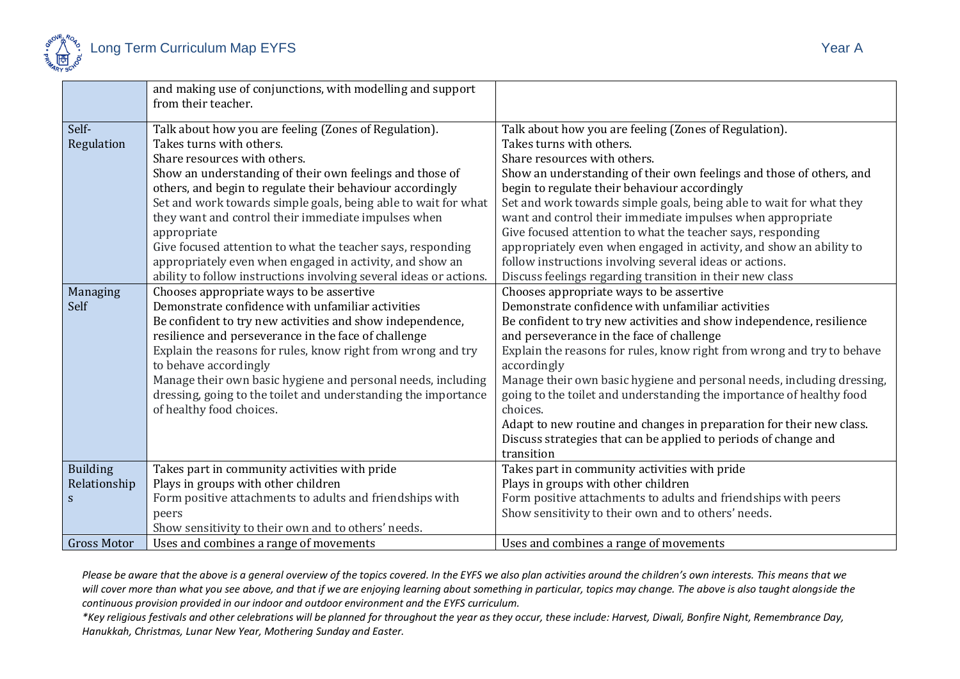

|                    | and making use of conjunctions, with modelling and support<br>from their teacher. |                                                                        |
|--------------------|-----------------------------------------------------------------------------------|------------------------------------------------------------------------|
|                    |                                                                                   |                                                                        |
| Self-              | Talk about how you are feeling (Zones of Regulation).                             | Talk about how you are feeling (Zones of Regulation).                  |
| Regulation         | Takes turns with others.                                                          | Takes turns with others.                                               |
|                    | Share resources with others.                                                      | Share resources with others.                                           |
|                    | Show an understanding of their own feelings and those of                          | Show an understanding of their own feelings and those of others, and   |
|                    | others, and begin to regulate their behaviour accordingly                         | begin to regulate their behaviour accordingly                          |
|                    | Set and work towards simple goals, being able to wait for what                    | Set and work towards simple goals, being able to wait for what they    |
|                    | they want and control their immediate impulses when                               | want and control their immediate impulses when appropriate             |
|                    | appropriate                                                                       | Give focused attention to what the teacher says, responding            |
|                    | Give focused attention to what the teacher says, responding                       | appropriately even when engaged in activity, and show an ability to    |
|                    | appropriately even when engaged in activity, and show an                          | follow instructions involving several ideas or actions.                |
|                    | ability to follow instructions involving several ideas or actions                 | Discuss feelings regarding transition in their new class               |
| Managing           | Chooses appropriate ways to be assertive                                          | Chooses appropriate ways to be assertive                               |
| Self               | Demonstrate confidence with unfamiliar activities                                 | Demonstrate confidence with unfamiliar activities                      |
|                    | Be confident to try new activities and show independence,                         | Be confident to try new activities and show independence, resilience   |
|                    | resilience and perseverance in the face of challenge                              | and perseverance in the face of challenge                              |
|                    | Explain the reasons for rules, know right from wrong and try                      | Explain the reasons for rules, know right from wrong and try to behave |
|                    | to behave accordingly                                                             | accordingly                                                            |
|                    | Manage their own basic hygiene and personal needs, including                      | Manage their own basic hygiene and personal needs, including dressing, |
|                    | dressing, going to the toilet and understanding the importance                    | going to the toilet and understanding the importance of healthy food   |
|                    | of healthy food choices.                                                          | choices.                                                               |
|                    |                                                                                   | Adapt to new routine and changes in preparation for their new class.   |
|                    |                                                                                   | Discuss strategies that can be applied to periods of change and        |
|                    |                                                                                   | transition                                                             |
| <b>Building</b>    | Takes part in community activities with pride                                     | Takes part in community activities with pride                          |
| Relationship       | Plays in groups with other children                                               | Plays in groups with other children                                    |
| S                  | Form positive attachments to adults and friendships with                          | Form positive attachments to adults and friendships with peers         |
|                    | peers                                                                             | Show sensitivity to their own and to others' needs.                    |
|                    | Show sensitivity to their own and to others' needs.                               |                                                                        |
| <b>Gross Motor</b> | Uses and combines a range of movements                                            | Uses and combines a range of movements                                 |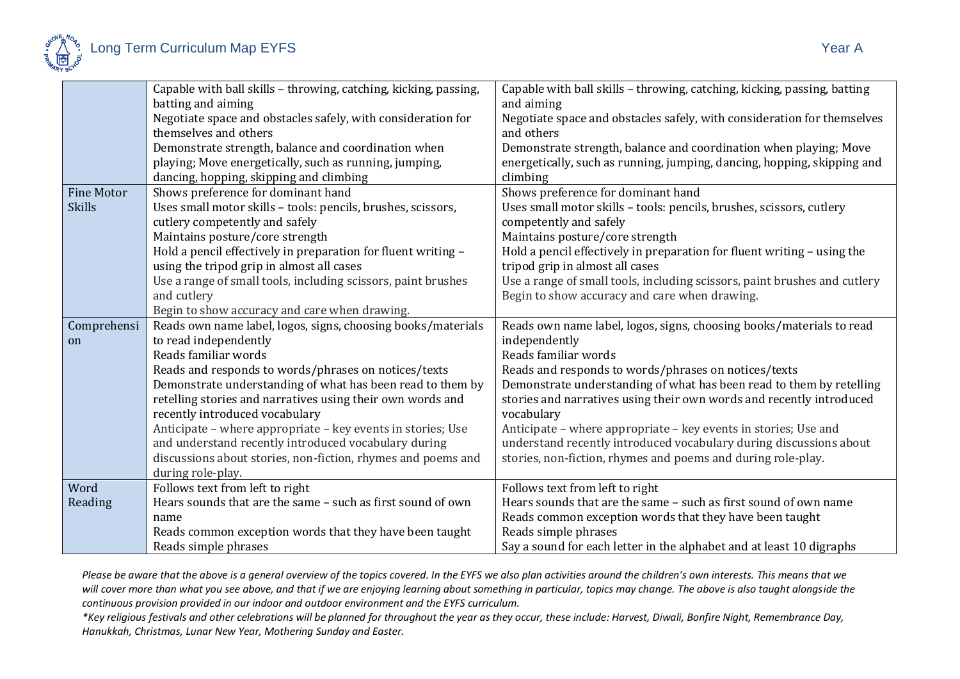

|                   | Capable with ball skills - throwing, catching, kicking, passing, | Capable with ball skills - throwing, catching, kicking, passing, batting  |
|-------------------|------------------------------------------------------------------|---------------------------------------------------------------------------|
|                   | batting and aiming                                               | and aiming                                                                |
|                   | Negotiate space and obstacles safely, with consideration for     | Negotiate space and obstacles safely, with consideration for themselves   |
|                   | themselves and others                                            | and others                                                                |
|                   | Demonstrate strength, balance and coordination when              | Demonstrate strength, balance and coordination when playing; Move         |
|                   | playing; Move energetically, such as running, jumping,           | energetically, such as running, jumping, dancing, hopping, skipping and   |
|                   | dancing, hopping, skipping and climbing                          | climbing                                                                  |
| <b>Fine Motor</b> | Shows preference for dominant hand                               | Shows preference for dominant hand                                        |
| <b>Skills</b>     | Uses small motor skills - tools: pencils, brushes, scissors,     | Uses small motor skills - tools: pencils, brushes, scissors, cutlery      |
|                   | cutlery competently and safely                                   | competently and safely                                                    |
|                   | Maintains posture/core strength                                  | Maintains posture/core strength                                           |
|                   | Hold a pencil effectively in preparation for fluent writing -    | Hold a pencil effectively in preparation for fluent writing - using the   |
|                   | using the tripod grip in almost all cases                        | tripod grip in almost all cases                                           |
|                   | Use a range of small tools, including scissors, paint brushes    | Use a range of small tools, including scissors, paint brushes and cutlery |
|                   | and cutlery                                                      | Begin to show accuracy and care when drawing.                             |
|                   | Begin to show accuracy and care when drawing.                    |                                                                           |
| Comprehensi       | Reads own name label, logos, signs, choosing books/materials     | Reads own name label, logos, signs, choosing books/materials to read      |
| on                | to read independently                                            | independently                                                             |
|                   | Reads familiar words                                             | Reads familiar words                                                      |
|                   | Reads and responds to words/phrases on notices/texts             | Reads and responds to words/phrases on notices/texts                      |
|                   | Demonstrate understanding of what has been read to them by       | Demonstrate understanding of what has been read to them by retelling      |
|                   | retelling stories and narratives using their own words and       | stories and narratives using their own words and recently introduced      |
|                   | recently introduced vocabulary                                   | vocabulary                                                                |
|                   | Anticipate – where appropriate – key events in stories; Use      | Anticipate – where appropriate – key events in stories; Use and           |
|                   | and understand recently introduced vocabulary during             | understand recently introduced vocabulary during discussions about        |
|                   | discussions about stories, non-fiction, rhymes and poems and     | stories, non-fiction, rhymes and poems and during role-play.              |
|                   | during role-play.                                                |                                                                           |
| Word              | Follows text from left to right                                  | Follows text from left to right                                           |
| Reading           | Hears sounds that are the same - such as first sound of own      | Hears sounds that are the same - such as first sound of own name          |
|                   | name                                                             | Reads common exception words that they have been taught                   |
|                   | Reads common exception words that they have been taught          | Reads simple phrases                                                      |
|                   | Reads simple phrases                                             | Say a sound for each letter in the alphabet and at least 10 digraphs      |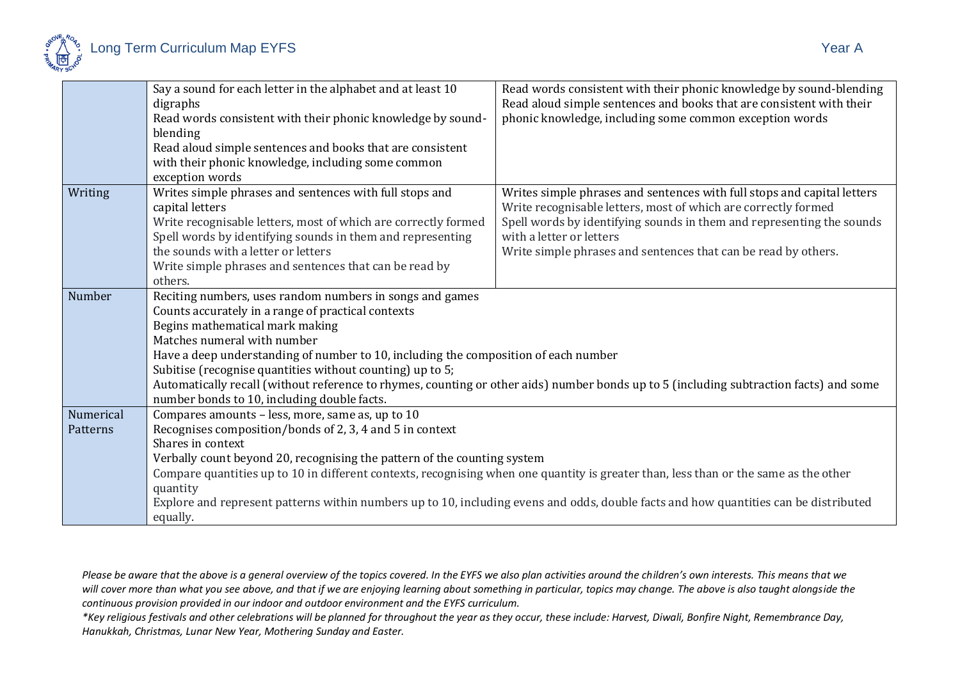

|           | Say a sound for each letter in the alphabet and at least 10<br>digraphs                                                                | Read words consistent with their phonic knowledge by sound-blending<br>Read aloud simple sentences and books that are consistent with their |  |
|-----------|----------------------------------------------------------------------------------------------------------------------------------------|---------------------------------------------------------------------------------------------------------------------------------------------|--|
|           | Read words consistent with their phonic knowledge by sound-<br>blending                                                                | phonic knowledge, including some common exception words                                                                                     |  |
|           | Read aloud simple sentences and books that are consistent                                                                              |                                                                                                                                             |  |
|           | with their phonic knowledge, including some common                                                                                     |                                                                                                                                             |  |
|           | exception words                                                                                                                        |                                                                                                                                             |  |
| Writing   | Writes simple phrases and sentences with full stops and                                                                                | Writes simple phrases and sentences with full stops and capital letters                                                                     |  |
|           | capital letters                                                                                                                        | Write recognisable letters, most of which are correctly formed                                                                              |  |
|           | Write recognisable letters, most of which are correctly formed                                                                         | Spell words by identifying sounds in them and representing the sounds                                                                       |  |
|           | Spell words by identifying sounds in them and representing<br>the sounds with a letter or letters                                      | with a letter or letters                                                                                                                    |  |
|           | Write simple phrases and sentences that can be read by                                                                                 | Write simple phrases and sentences that can be read by others.                                                                              |  |
|           | others.                                                                                                                                |                                                                                                                                             |  |
| Number    | Reciting numbers, uses random numbers in songs and games                                                                               |                                                                                                                                             |  |
|           | Counts accurately in a range of practical contexts                                                                                     |                                                                                                                                             |  |
|           | Begins mathematical mark making                                                                                                        |                                                                                                                                             |  |
|           | Matches numeral with number                                                                                                            |                                                                                                                                             |  |
|           | Have a deep understanding of number to 10, including the composition of each number                                                    |                                                                                                                                             |  |
|           | Subitise (recognise quantities without counting) up to 5;                                                                              |                                                                                                                                             |  |
|           | Automatically recall (without reference to rhymes, counting or other aids) number bonds up to 5 (including subtraction facts) and some |                                                                                                                                             |  |
|           | number bonds to 10, including double facts.                                                                                            |                                                                                                                                             |  |
| Numerical | Compares amounts - less, more, same as, up to 10                                                                                       |                                                                                                                                             |  |
| Patterns  | Recognises composition/bonds of 2, 3, 4 and 5 in context                                                                               |                                                                                                                                             |  |
|           | Shares in context                                                                                                                      |                                                                                                                                             |  |
|           | Verbally count beyond 20, recognising the pattern of the counting system                                                               | Compare quantities up to 10 in different contexts, recognising when one quantity is greater than, less than or the same as the other        |  |
|           | quantity                                                                                                                               |                                                                                                                                             |  |
|           |                                                                                                                                        | Explore and represent patterns within numbers up to 10, including evens and odds, double facts and how quantities can be distributed        |  |
|           | equally.                                                                                                                               |                                                                                                                                             |  |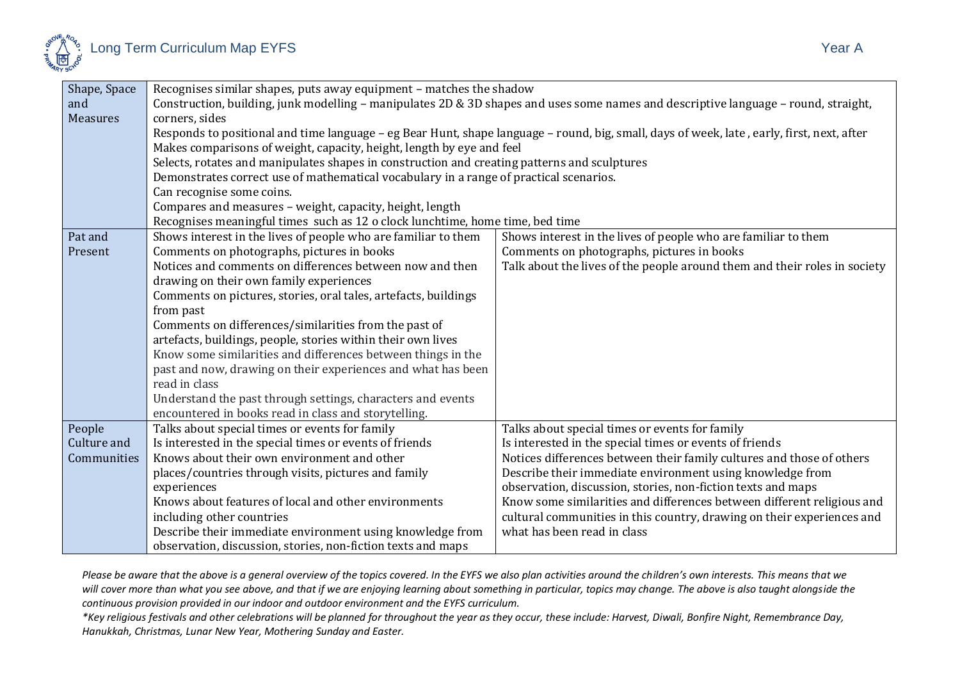

| Shape, Space    | Recognises similar shapes, puts away equipment - matches the shadow                                                                        |                                                                           |  |
|-----------------|--------------------------------------------------------------------------------------------------------------------------------------------|---------------------------------------------------------------------------|--|
| and             | Construction, building, junk modelling - manipulates 2D & 3D shapes and uses some names and descriptive language - round, straight,        |                                                                           |  |
| <b>Measures</b> | corners, sides                                                                                                                             |                                                                           |  |
|                 | Responds to positional and time language - eg Bear Hunt, shape language - round, big, small, days of week, late, early, first, next, after |                                                                           |  |
|                 | Makes comparisons of weight, capacity, height, length by eye and feel                                                                      |                                                                           |  |
|                 | Selects, rotates and manipulates shapes in construction and creating patterns and sculptures                                               |                                                                           |  |
|                 | Demonstrates correct use of mathematical vocabulary in a range of practical scenarios.                                                     |                                                                           |  |
|                 | Can recognise some coins.                                                                                                                  |                                                                           |  |
|                 | Compares and measures - weight, capacity, height, length                                                                                   |                                                                           |  |
|                 | Recognises meaningful times such as 12 o clock lunchtime, home time, bed time                                                              |                                                                           |  |
| Pat and         | Shows interest in the lives of people who are familiar to them                                                                             | Shows interest in the lives of people who are familiar to them            |  |
| Present         | Comments on photographs, pictures in books                                                                                                 | Comments on photographs, pictures in books                                |  |
|                 | Notices and comments on differences between now and then                                                                                   | Talk about the lives of the people around them and their roles in society |  |
|                 | drawing on their own family experiences                                                                                                    |                                                                           |  |
|                 | Comments on pictures, stories, oral tales, artefacts, buildings                                                                            |                                                                           |  |
|                 | from past                                                                                                                                  |                                                                           |  |
|                 | Comments on differences/similarities from the past of                                                                                      |                                                                           |  |
|                 | artefacts, buildings, people, stories within their own lives                                                                               |                                                                           |  |
|                 | Know some similarities and differences between things in the                                                                               |                                                                           |  |
|                 | past and now, drawing on their experiences and what has been                                                                               |                                                                           |  |
|                 | read in class                                                                                                                              |                                                                           |  |
|                 | Understand the past through settings, characters and events                                                                                |                                                                           |  |
|                 | encountered in books read in class and storytelling.                                                                                       |                                                                           |  |
| People          | Talks about special times or events for family                                                                                             | Talks about special times or events for family                            |  |
| Culture and     | Is interested in the special times or events of friends                                                                                    | Is interested in the special times or events of friends                   |  |
| Communities     | Knows about their own environment and other                                                                                                | Notices differences between their family cultures and those of others     |  |
|                 | places/countries through visits, pictures and family                                                                                       | Describe their immediate environment using knowledge from                 |  |
|                 | experiences                                                                                                                                | observation, discussion, stories, non-fiction texts and maps              |  |
|                 | Knows about features of local and other environments                                                                                       | Know some similarities and differences between different religious and    |  |
|                 | including other countries                                                                                                                  | cultural communities in this country, drawing on their experiences and    |  |
|                 | Describe their immediate environment using knowledge from                                                                                  | what has been read in class                                               |  |
|                 | observation, discussion, stories, non-fiction texts and maps                                                                               |                                                                           |  |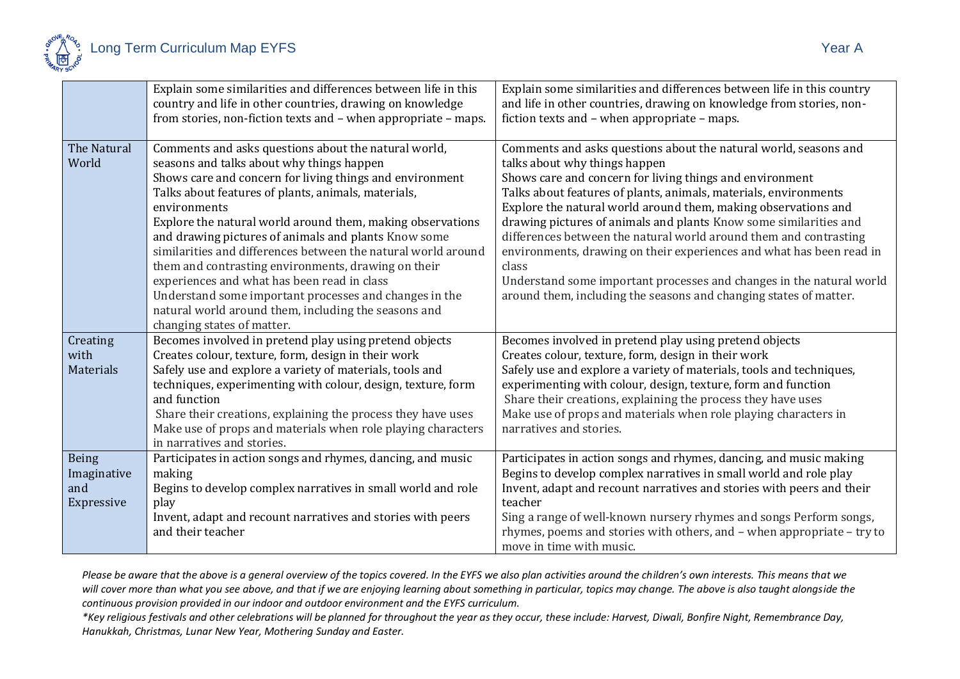

|                                           | Explain some similarities and differences between life in this<br>country and life in other countries, drawing on knowledge<br>from stories, non-fiction texts and - when appropriate - maps.                                                                                                                                                                                                                                                                                                                                                                                                                                                                                     | Explain some similarities and differences between life in this country<br>and life in other countries, drawing on knowledge from stories, non-<br>fiction texts and - when appropriate - maps.                                                                                                                                                                                                                                                                                                                                                                                                                                                                              |
|-------------------------------------------|-----------------------------------------------------------------------------------------------------------------------------------------------------------------------------------------------------------------------------------------------------------------------------------------------------------------------------------------------------------------------------------------------------------------------------------------------------------------------------------------------------------------------------------------------------------------------------------------------------------------------------------------------------------------------------------|-----------------------------------------------------------------------------------------------------------------------------------------------------------------------------------------------------------------------------------------------------------------------------------------------------------------------------------------------------------------------------------------------------------------------------------------------------------------------------------------------------------------------------------------------------------------------------------------------------------------------------------------------------------------------------|
| The Natural<br>World                      | Comments and asks questions about the natural world,<br>seasons and talks about why things happen<br>Shows care and concern for living things and environment<br>Talks about features of plants, animals, materials,<br>environments<br>Explore the natural world around them, making observations<br>and drawing pictures of animals and plants Know some<br>similarities and differences between the natural world around<br>them and contrasting environments, drawing on their<br>experiences and what has been read in class<br>Understand some important processes and changes in the<br>natural world around them, including the seasons and<br>changing states of matter. | Comments and asks questions about the natural world, seasons and<br>talks about why things happen<br>Shows care and concern for living things and environment<br>Talks about features of plants, animals, materials, environments<br>Explore the natural world around them, making observations and<br>drawing pictures of animals and plants Know some similarities and<br>differences between the natural world around them and contrasting<br>environments, drawing on their experiences and what has been read in<br>class<br>Understand some important processes and changes in the natural world<br>around them, including the seasons and changing states of matter. |
| Creating<br>with<br>Materials             | Becomes involved in pretend play using pretend objects<br>Creates colour, texture, form, design in their work<br>Safely use and explore a variety of materials, tools and<br>techniques, experimenting with colour, design, texture, form<br>and function<br>Share their creations, explaining the process they have uses<br>Make use of props and materials when role playing characters<br>in narratives and stories.                                                                                                                                                                                                                                                           | Becomes involved in pretend play using pretend objects<br>Creates colour, texture, form, design in their work<br>Safely use and explore a variety of materials, tools and techniques,<br>experimenting with colour, design, texture, form and function<br>Share their creations, explaining the process they have uses<br>Make use of props and materials when role playing characters in<br>narratives and stories.                                                                                                                                                                                                                                                        |
| Being<br>Imaginative<br>and<br>Expressive | Participates in action songs and rhymes, dancing, and music<br>making<br>Begins to develop complex narratives in small world and role<br>play<br>Invent, adapt and recount narratives and stories with peers<br>and their teacher                                                                                                                                                                                                                                                                                                                                                                                                                                                 | Participates in action songs and rhymes, dancing, and music making<br>Begins to develop complex narratives in small world and role play<br>Invent, adapt and recount narratives and stories with peers and their<br>teacher<br>Sing a range of well-known nursery rhymes and songs Perform songs,<br>rhymes, poems and stories with others, and - when appropriate - try to<br>move in time with music.                                                                                                                                                                                                                                                                     |